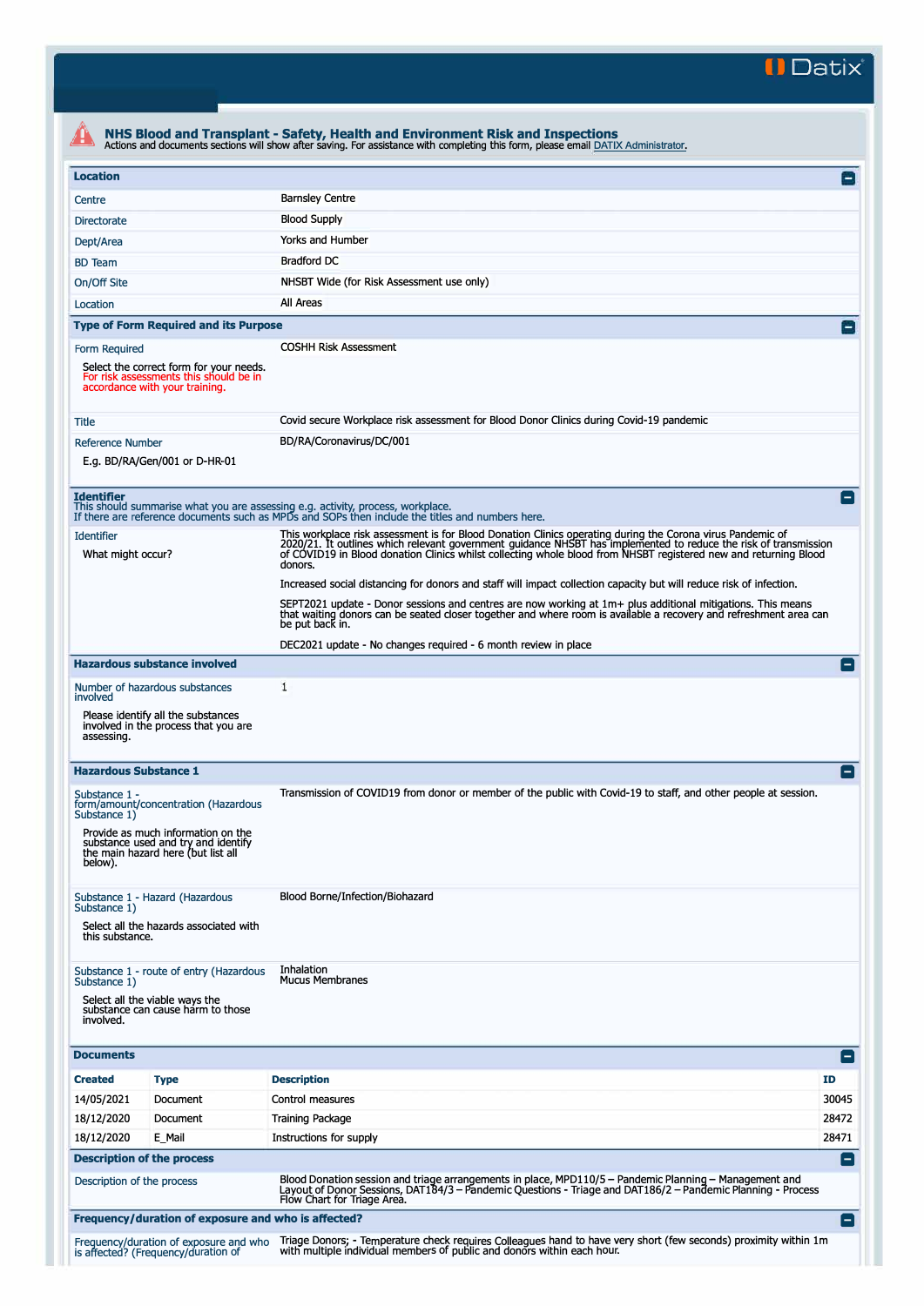**II Datix"** 

| <b>Location</b>                                                                                                                                                                                     |          |                                                                                                                                                                                                                                                                                                                                                               | $\mathbf{I}$   |  |  |  |
|-----------------------------------------------------------------------------------------------------------------------------------------------------------------------------------------------------|----------|---------------------------------------------------------------------------------------------------------------------------------------------------------------------------------------------------------------------------------------------------------------------------------------------------------------------------------------------------------------|----------------|--|--|--|
| Centre                                                                                                                                                                                              |          | <b>Barnsley Centre</b>                                                                                                                                                                                                                                                                                                                                        |                |  |  |  |
| Directorate                                                                                                                                                                                         |          | <b>Blood Supply</b>                                                                                                                                                                                                                                                                                                                                           |                |  |  |  |
| Dept/Area                                                                                                                                                                                           |          | Yorks and Humber                                                                                                                                                                                                                                                                                                                                              |                |  |  |  |
| <b>BD</b> Team                                                                                                                                                                                      |          | <b>Bradford DC</b>                                                                                                                                                                                                                                                                                                                                            |                |  |  |  |
| On/Off Site                                                                                                                                                                                         |          | NHSBT Wide (for Risk Assessment use only)                                                                                                                                                                                                                                                                                                                     |                |  |  |  |
| Location                                                                                                                                                                                            |          | All Areas                                                                                                                                                                                                                                                                                                                                                     |                |  |  |  |
| <b>Type of Form Required and its Purpose</b>                                                                                                                                                        |          |                                                                                                                                                                                                                                                                                                                                                               | $\mathbf{I}$   |  |  |  |
|                                                                                                                                                                                                     |          | <b>COSHH Risk Assessment</b>                                                                                                                                                                                                                                                                                                                                  |                |  |  |  |
| Form Required<br>Select the correct form for your needs.<br>For risk assessments this should be in<br>accordance with your training.                                                                |          |                                                                                                                                                                                                                                                                                                                                                               |                |  |  |  |
| <b>Title</b>                                                                                                                                                                                        |          | Covid secure Workplace risk assessment for Blood Donor Clinics during Covid-19 pandemic                                                                                                                                                                                                                                                                       |                |  |  |  |
| <b>Reference Number</b><br>E.g. BD/RA/Gen/001 or D-HR-01                                                                                                                                            |          | BD/RA/Coronavirus/DC/001                                                                                                                                                                                                                                                                                                                                      |                |  |  |  |
| <b>Identifier</b>                                                                                                                                                                                   |          | This should summarise what you are assessing e.g. activity, process, workplace.<br>If there are reference documents such as MPDs and SOPs then include the titles and numbers here.                                                                                                                                                                           |                |  |  |  |
| <b>Identifier</b><br>What might occur?                                                                                                                                                              |          | This workplace risk assessment is for Blood Donation Clinics operating during the Corona virus Pandemic of<br>2020/21. It outlines which relevant government guidance NHSBT has implemented to reduce the risk of transmission<br>of COVID19 in Blood donation Clinics whilst collecting whole blood from NHSBT registered new and returning Blood<br>donors. |                |  |  |  |
|                                                                                                                                                                                                     |          | Increased social distancing for donors and staff will impact collection capacity but will reduce risk of infection.                                                                                                                                                                                                                                           |                |  |  |  |
|                                                                                                                                                                                                     |          | SEPT2021 update - Donor sessions and centres are now working at 1m+ plus additional mitigations. This means<br>that waiting donors can be seated closer together and where room is available a recovery and refreshment area can<br>be put back in.                                                                                                           |                |  |  |  |
|                                                                                                                                                                                                     |          | DEC2021 update - No changes required - 6 month review in place                                                                                                                                                                                                                                                                                                |                |  |  |  |
| <b>Hazardous substance involved</b>                                                                                                                                                                 |          |                                                                                                                                                                                                                                                                                                                                                               |                |  |  |  |
| Number of hazardous substances<br>involved<br>Please identify all the substances<br>involved in the process that you are<br>assessing.                                                              |          | 1                                                                                                                                                                                                                                                                                                                                                             |                |  |  |  |
| <b>Hazardous Substance 1</b>                                                                                                                                                                        |          |                                                                                                                                                                                                                                                                                                                                                               | Е.             |  |  |  |
| Substance 1 -<br>form/amount/concentration (Hazardous<br>Substance 1)<br>Provide as much information on the<br>substance used and try and identify<br>the main hazard here (but list all<br>below). |          | Transmission of COVID19 from donor or member of the public with Covid-19 to staff, and other people at session.                                                                                                                                                                                                                                               |                |  |  |  |
| Substance 1 - Hazard (Hazardous<br>Substance 1)                                                                                                                                                     |          | Blood Borne/Infection/Biohazard                                                                                                                                                                                                                                                                                                                               |                |  |  |  |
| Select all the hazards associated with<br>this substance.                                                                                                                                           |          |                                                                                                                                                                                                                                                                                                                                                               |                |  |  |  |
| Substance 1 - route of entry (Hazardous                                                                                                                                                             |          | Inhalation<br><b>Mucus Membranes</b>                                                                                                                                                                                                                                                                                                                          |                |  |  |  |
| Substance 1)<br>Select all the viable ways the<br>substance can cause harm to those<br>involved.                                                                                                    |          |                                                                                                                                                                                                                                                                                                                                                               |                |  |  |  |
| <b>Documents</b>                                                                                                                                                                                    |          |                                                                                                                                                                                                                                                                                                                                                               | $\Box$         |  |  |  |
| <b>Created</b><br><b>Type</b>                                                                                                                                                                       |          | <b>Description</b>                                                                                                                                                                                                                                                                                                                                            | <b>ID</b>      |  |  |  |
| 14/05/2021                                                                                                                                                                                          | Document | Control measures                                                                                                                                                                                                                                                                                                                                              | 30045          |  |  |  |
| 18/12/2020                                                                                                                                                                                          | Document | <b>Training Package</b>                                                                                                                                                                                                                                                                                                                                       | 28472          |  |  |  |
| 18/12/2020<br>E Mail                                                                                                                                                                                |          | Instructions for supply                                                                                                                                                                                                                                                                                                                                       | 28471          |  |  |  |
| <b>Description of the process</b><br>Description of the process                                                                                                                                     |          | Blood Donation session and triage arrangements in place, MPD110/5 - Pandemic Planning - Management and<br>Layout of Donor Sessions, DAT184/3 – Pandemic Questions - Triage and DAT186/2 – Pandemic Planning - Process<br>Flow Chart for Triage Area.                                                                                                          | E              |  |  |  |
|                                                                                                                                                                                                     |          | Frequency/duration of exposure and who is affected?                                                                                                                                                                                                                                                                                                           | $\blacksquare$ |  |  |  |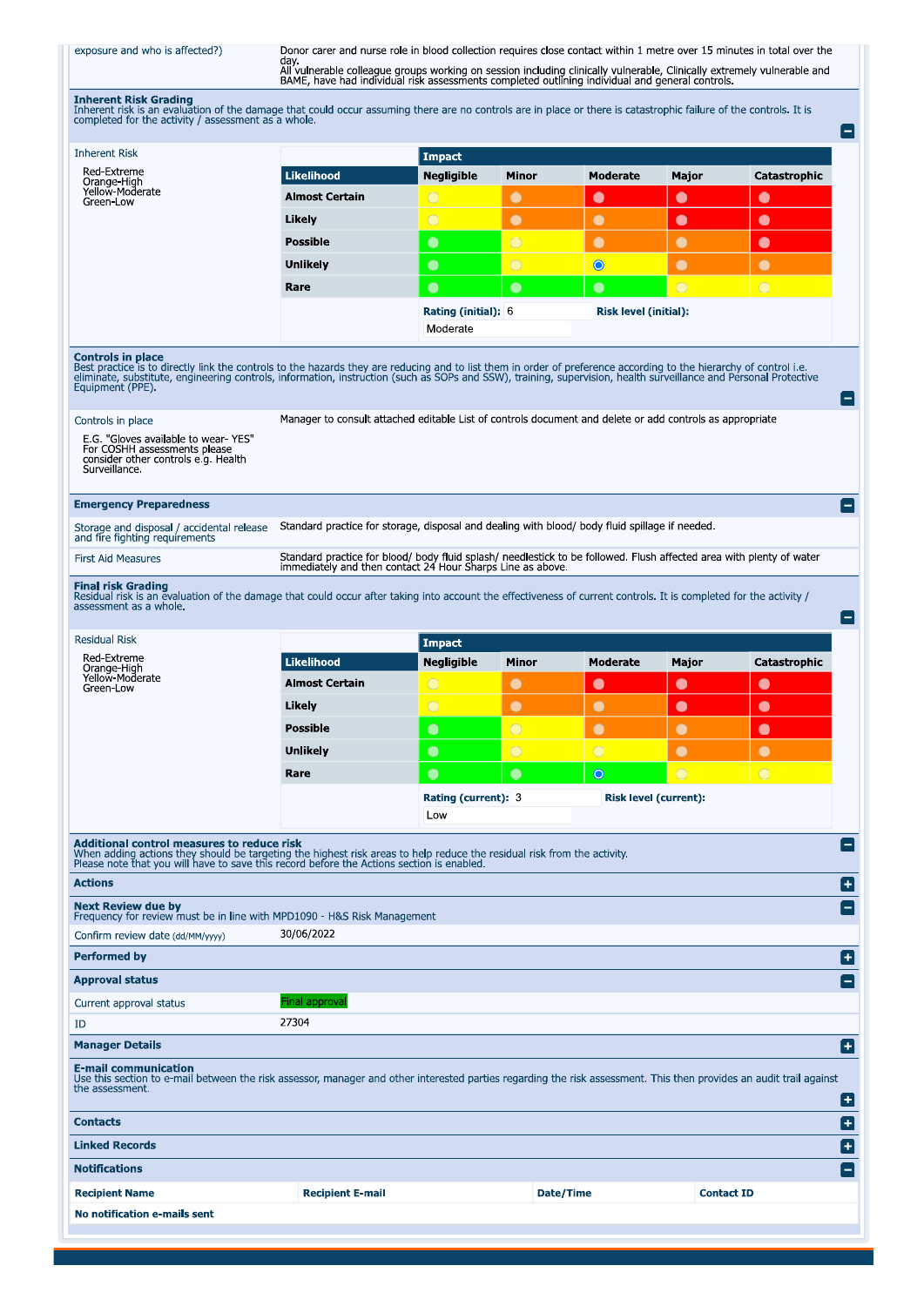## exposure and who is affected?)

Donor carer and nurse role in blood collection requires close contact within 1 metre over 15 minutes in total over the<br>day.<br>All vulnerable colleague groups working on session including clinically vulnerable, Clinically ext

Inherent Risk Grading<br>Inherent risk is an evaluation of the damage that could occur assuming there are no controls are in place or there is catastrophic failure of the controls. It is<br>completed for the activity / assessmen

| <b>Inherent Risk</b>                                                                                                                                                                                                                                                                                                                                                                   |                                                                                                                                                                                   | <b>Impact</b>                          |                |                        |                              |              |                          |  |
|----------------------------------------------------------------------------------------------------------------------------------------------------------------------------------------------------------------------------------------------------------------------------------------------------------------------------------------------------------------------------------------|-----------------------------------------------------------------------------------------------------------------------------------------------------------------------------------|----------------------------------------|----------------|------------------------|------------------------------|--------------|--------------------------|--|
| Red Extreme<br>Orange-High<br>Yellow-Moderate                                                                                                                                                                                                                                                                                                                                          | <b>Likelihood</b>                                                                                                                                                                 | <b>Negligible</b>                      | Minor          | <b>Moderate</b>        | Major                        | Catastrophic |                          |  |
| Green-Low                                                                                                                                                                                                                                                                                                                                                                              | <b>Almost Certain</b>                                                                                                                                                             | $\bigcirc$                             | $\bullet$      | $\bullet$              | $\bullet$                    | $\bullet$    |                          |  |
|                                                                                                                                                                                                                                                                                                                                                                                        | Likely                                                                                                                                                                            | $\bigcirc$                             | $\bullet$      | $\bullet$              | $\bullet$                    | $\bullet$    |                          |  |
|                                                                                                                                                                                                                                                                                                                                                                                        | <b>Possible</b>                                                                                                                                                                   | $\bullet$                              | $\bigcirc$     | $\bullet$              | $\bullet$                    | $\bullet$    |                          |  |
|                                                                                                                                                                                                                                                                                                                                                                                        | <b>Unlikely</b>                                                                                                                                                                   | $\bullet$                              | $\bigcirc$     | $\bullet$              | $\bullet$                    | $\bullet$    |                          |  |
|                                                                                                                                                                                                                                                                                                                                                                                        | Rare                                                                                                                                                                              | $\bullet$                              | $\bullet$      | $\bullet$              | $\bigcirc$                   | $\bigcirc$   |                          |  |
|                                                                                                                                                                                                                                                                                                                                                                                        |                                                                                                                                                                                   | <b>Rating (initial): 6</b><br>Moderate |                |                        | <b>Risk level (initial):</b> |              |                          |  |
| <b>Controls in place</b><br>Best practice is to directly link the controls to the hazards they are reducing and to list them in order of preference according to the hierarchy of control i.e.<br>eliminate, substitute, engineering controls, information, instruction (such as SOPs and SSW), training, supervision, health surveillance and Personal Protective<br>Equipment (PPE). |                                                                                                                                                                                   |                                        |                |                        |                              |              | $\equiv$                 |  |
| Controls in place<br>E.G. "Gloves available to wear-YES"<br>For COSHH assessments please<br>consider other controls e.g. Health<br>Surveillance.                                                                                                                                                                                                                                       | Manager to consult attached editable List of controls document and delete or add controls as appropriate                                                                          |                                        |                |                        |                              |              |                          |  |
| <b>Emergency Preparedness</b>                                                                                                                                                                                                                                                                                                                                                          |                                                                                                                                                                                   |                                        |                |                        |                              |              | $ - $                    |  |
| Storage and disposal / accidental release<br>and fire fighting requirements                                                                                                                                                                                                                                                                                                            | Standard practice for storage, disposal and dealing with blood/ body fluid spillage if needed.                                                                                    |                                        |                |                        |                              |              |                          |  |
| <b>First Aid Measures</b>                                                                                                                                                                                                                                                                                                                                                              | Standard practice for blood/ body fluid splash/ needlestick to be followed. Flush affected area with plenty of water<br>immediately and then contact 24 Hour Sharps Line as above |                                        |                |                        |                              |              |                          |  |
| <b>Final risk Grading</b><br>Residual risk is an evaluation of the damage that could occur after taking into account the effectiveness of current controls. It is completed for the activity /<br>assessment as a whole.                                                                                                                                                               |                                                                                                                                                                                   |                                        |                |                        |                              |              | $\overline{\phantom{a}}$ |  |
| <b>Residual Risk</b>                                                                                                                                                                                                                                                                                                                                                                   | <b>Impact</b>                                                                                                                                                                     |                                        |                |                        |                              |              |                          |  |
| Red Extreme                                                                                                                                                                                                                                                                                                                                                                            | <b>Likelihood</b>                                                                                                                                                                 | <b>Negligible</b>                      | Minor          | <b>Moderate</b>        | Major                        | Catastrophic |                          |  |
| Orange-High<br>Yellow-Moderate<br>Green-Low                                                                                                                                                                                                                                                                                                                                            | <b>Almost Certain</b>                                                                                                                                                             | $\circ$                                | $\bullet$      | $\bullet$              | $\bullet$                    | $\bullet$    |                          |  |
|                                                                                                                                                                                                                                                                                                                                                                                        | Likely                                                                                                                                                                            | $\overline{\bigcirc}$                  | $\bullet$      | $\bullet$              | $\bullet$                    | $\bullet$    |                          |  |
|                                                                                                                                                                                                                                                                                                                                                                                        | <b>Possible</b>                                                                                                                                                                   | $\bullet$                              | $\overline{O}$ | $\bullet$              | $\bullet$                    | $\bullet$    |                          |  |
|                                                                                                                                                                                                                                                                                                                                                                                        | <b>Unlikely</b>                                                                                                                                                                   | $\bullet$                              | $\bigcirc$     | $\overline{\bigcirc}$  | $\bullet$                    | $\bullet$    |                          |  |
|                                                                                                                                                                                                                                                                                                                                                                                        | Rare                                                                                                                                                                              | $\bullet$                              | $\bullet$      | $\circ$                | $\bigcirc$                   | $\bigcirc$   |                          |  |
|                                                                                                                                                                                                                                                                                                                                                                                        |                                                                                                                                                                                   |                                        |                |                        |                              |              |                          |  |
|                                                                                                                                                                                                                                                                                                                                                                                        |                                                                                                                                                                                   | Rating (current): 3<br>Low             |                | Risk   eve  (current): |                              |              |                          |  |
| Additional control measures to reduce risk<br>When adding actions they should be targeting the highest risk areas to help reduce the residual risk from the activity.<br>Please note that you will have to save this record before the Actions section is enabled.                                                                                                                     |                                                                                                                                                                                   |                                        |                |                        |                              |              | -l                       |  |
| <b>Actions</b>                                                                                                                                                                                                                                                                                                                                                                         |                                                                                                                                                                                   |                                        |                |                        |                              |              | Ð                        |  |
| <b>Next Review due by</b><br>Frequency for review must be in line with MPD1090 - H&S Risk Management                                                                                                                                                                                                                                                                                   |                                                                                                                                                                                   |                                        |                |                        |                              |              | $\left[-\right]$         |  |
| Confirm review date (dd/MM/yyyy)                                                                                                                                                                                                                                                                                                                                                       | 30/06/2022                                                                                                                                                                        |                                        |                |                        |                              |              |                          |  |
| <b>Performed by</b>                                                                                                                                                                                                                                                                                                                                                                    |                                                                                                                                                                                   |                                        |                |                        |                              |              | 0                        |  |
| <b>Approval status</b>                                                                                                                                                                                                                                                                                                                                                                 |                                                                                                                                                                                   |                                        |                |                        |                              |              | H                        |  |
| Current approval status                                                                                                                                                                                                                                                                                                                                                                | inal approval                                                                                                                                                                     |                                        |                |                        |                              |              |                          |  |
| ID                                                                                                                                                                                                                                                                                                                                                                                     | 27304                                                                                                                                                                             |                                        |                |                        |                              |              |                          |  |
| <b>Manager Details</b>                                                                                                                                                                                                                                                                                                                                                                 |                                                                                                                                                                                   |                                        |                |                        |                              |              | Ð                        |  |
| <b>E-mail communication</b><br>Use this section to e-mail between the risk assessor, manager and other interested parties regarding the risk assessment. This then provides an audit trail against<br>the assessment.                                                                                                                                                                  |                                                                                                                                                                                   |                                        |                |                        |                              |              | $\vert \textbf{+} \vert$ |  |
| <b>Contacts</b>                                                                                                                                                                                                                                                                                                                                                                        |                                                                                                                                                                                   |                                        |                |                        |                              |              | ۰                        |  |
| <b>Linked Records</b>                                                                                                                                                                                                                                                                                                                                                                  |                                                                                                                                                                                   |                                        |                |                        |                              |              | ۸                        |  |
| <b>Notifications</b>                                                                                                                                                                                                                                                                                                                                                                   |                                                                                                                                                                                   |                                        |                |                        |                              |              | $\equiv$                 |  |
|                                                                                                                                                                                                                                                                                                                                                                                        |                                                                                                                                                                                   |                                        |                |                        |                              |              |                          |  |
| <b>Recipient Name</b>                                                                                                                                                                                                                                                                                                                                                                  | <b>Recipient E-mail</b>                                                                                                                                                           |                                        |                | Date/Time              | <b>Contact ID</b>            |              |                          |  |
| No notification e-mails sent                                                                                                                                                                                                                                                                                                                                                           |                                                                                                                                                                                   |                                        |                |                        |                              |              |                          |  |